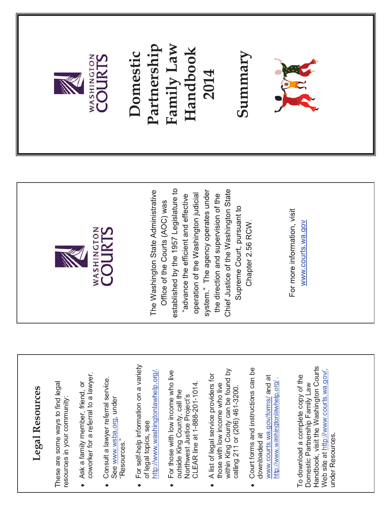